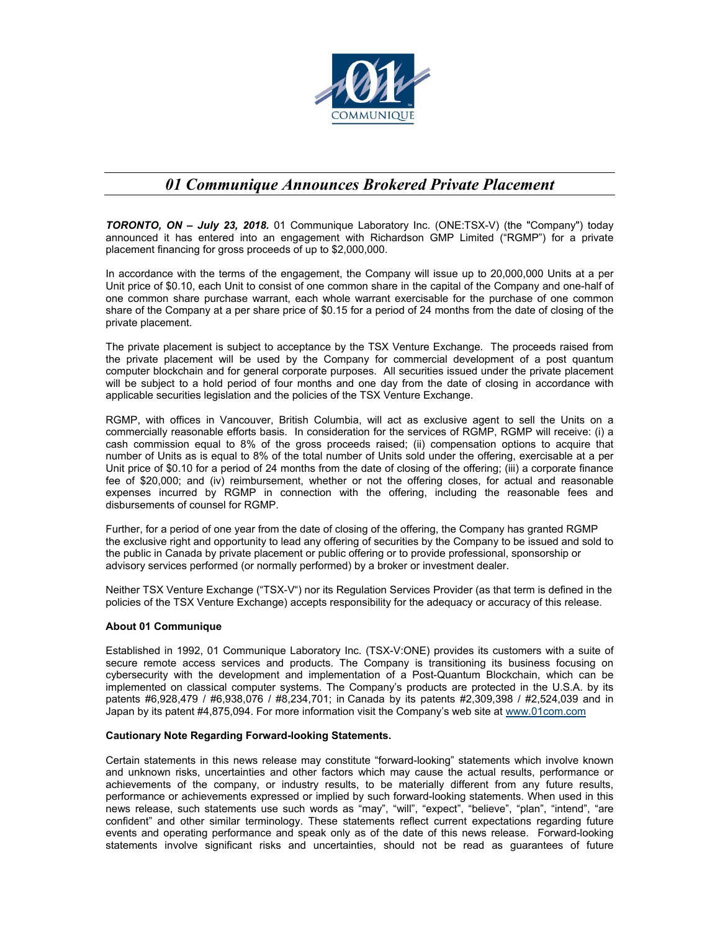

## *01 Communique Announces Brokered Private Placement*

*TORONTO, ON – July 23, 2018.* 01 Communique Laboratory Inc. (ONE:TSX-V) (the "Company") today announced it has entered into an engagement with Richardson GMP Limited ("RGMP") for a private placement financing for gross proceeds of up to \$2,000,000.

In accordance with the terms of the engagement, the Company will issue up to 20,000,000 Units at a per Unit price of \$0.10, each Unit to consist of one common share in the capital of the Company and one-half of one common share purchase warrant, each whole warrant exercisable for the purchase of one common share of the Company at a per share price of \$0.15 for a period of 24 months from the date of closing of the private placement.

The private placement is subject to acceptance by the TSX Venture Exchange. The proceeds raised from the private placement will be used by the Company for commercial development of a post quantum computer blockchain and for general corporate purposes. All securities issued under the private placement will be subject to a hold period of four months and one day from the date of closing in accordance with applicable securities legislation and the policies of the TSX Venture Exchange.

RGMP, with offices in Vancouver, British Columbia, will act as exclusive agent to sell the Units on a commercially reasonable efforts basis. In consideration for the services of RGMP, RGMP will receive: (i) a cash commission equal to 8% of the gross proceeds raised; (ii) compensation options to acquire that number of Units as is equal to 8% of the total number of Units sold under the offering, exercisable at a per Unit price of \$0.10 for a period of 24 months from the date of closing of the offering; (iii) a corporate finance fee of \$20,000; and (iv) reimbursement, whether or not the offering closes, for actual and reasonable expenses incurred by RGMP in connection with the offering, including the reasonable fees and disbursements of counsel for RGMP.

Further, for a period of one year from the date of closing of the offering, the Company has granted RGMP the exclusive right and opportunity to lead any offering of securities by the Company to be issued and sold to the public in Canada by private placement or public offering or to provide professional, sponsorship or advisory services performed (or normally performed) by a broker or investment dealer.

Neither TSX Venture Exchange ("TSX-V") nor its Regulation Services Provider (as that term is defined in the policies of the TSX Venture Exchange) accepts responsibility for the adequacy or accuracy of this release.

## **About 01 Communique**

Established in 1992, 01 Communique Laboratory Inc. (TSX-V:ONE) provides its customers with a suite of secure remote access services and products. The Company is transitioning its business focusing on cybersecurity with the development and implementation of a Post-Quantum Blockchain, which can be implemented on classical computer systems. The Company's products are protected in the U.S.A. by its patents #6,928,479 / #6,938,076 / #8,234,701; in Canada by its patents #2,309,398 / #2,524,039 and in Japan by its patent #4,875,094. For more information visit the Company's web site at www.01com.com

## **Cautionary Note Regarding Forward-looking Statements.**

Certain statements in this news release may constitute "forward-looking" statements which involve known and unknown risks, uncertainties and other factors which may cause the actual results, performance or achievements of the company, or industry results, to be materially different from any future results, performance or achievements expressed or implied by such forward-looking statements. When used in this news release, such statements use such words as "may", "will", "expect", "believe", "plan", "intend", "are confident" and other similar terminology. These statements reflect current expectations regarding future events and operating performance and speak only as of the date of this news release. Forward-looking statements involve significant risks and uncertainties, should not be read as guarantees of future